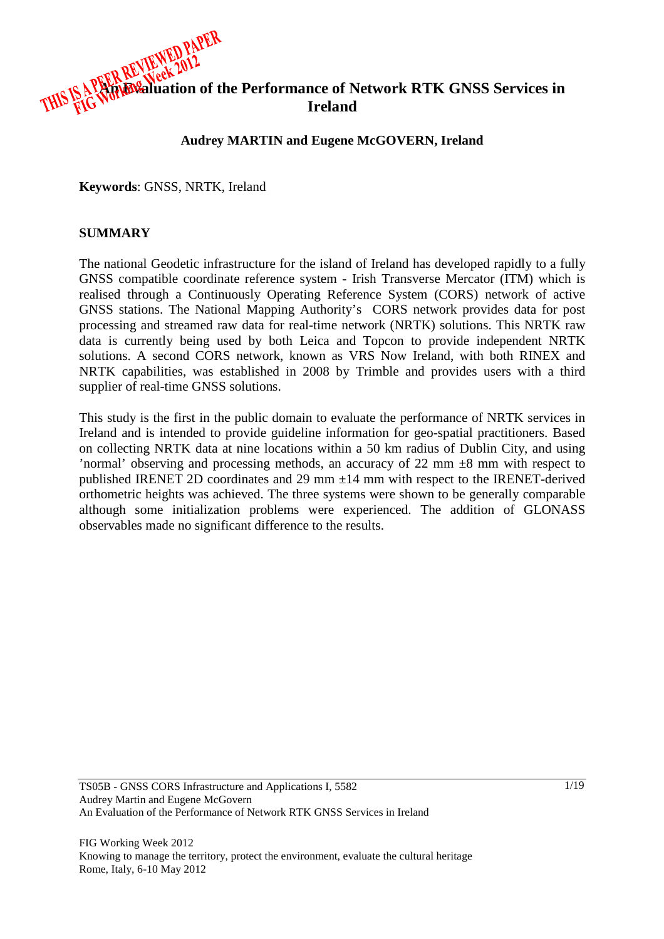

### **Audrey MARTIN and Eugene McGOVERN, Ireland**

**Keywords**: GNSS, NRTK, Ireland

#### **SUMMARY**

The national Geodetic infrastructure for the island of Ireland has developed rapidly to a fully GNSS compatible coordinate reference system - Irish Transverse Mercator (ITM) which is realised through a Continuously Operating Reference System (CORS) network of active GNSS stations. The National Mapping Authority's CORS network provides data for post processing and streamed raw data for real-time network (NRTK) solutions. This NRTK raw data is currently being used by both Leica and Topcon to provide independent NRTK solutions. A second CORS network, known as VRS Now Ireland, with both RINEX and NRTK capabilities, was established in 2008 by Trimble and provides users with a third supplier of real-time GNSS solutions.

This study is the first in the public domain to evaluate the performance of NRTK services in Ireland and is intended to provide guideline information for geo-spatial practitioners. Based on collecting NRTK data at nine locations within a 50 km radius of Dublin City, and using 'normal' observing and processing methods, an accuracy of 22 mm ±8 mm with respect to published IRENET 2D coordinates and 29 mm  $\pm$ 14 mm with respect to the IRENET-derived orthometric heights was achieved. The three systems were shown to be generally comparable although some initialization problems were experienced. The addition of GLONASS observables made no significant difference to the results.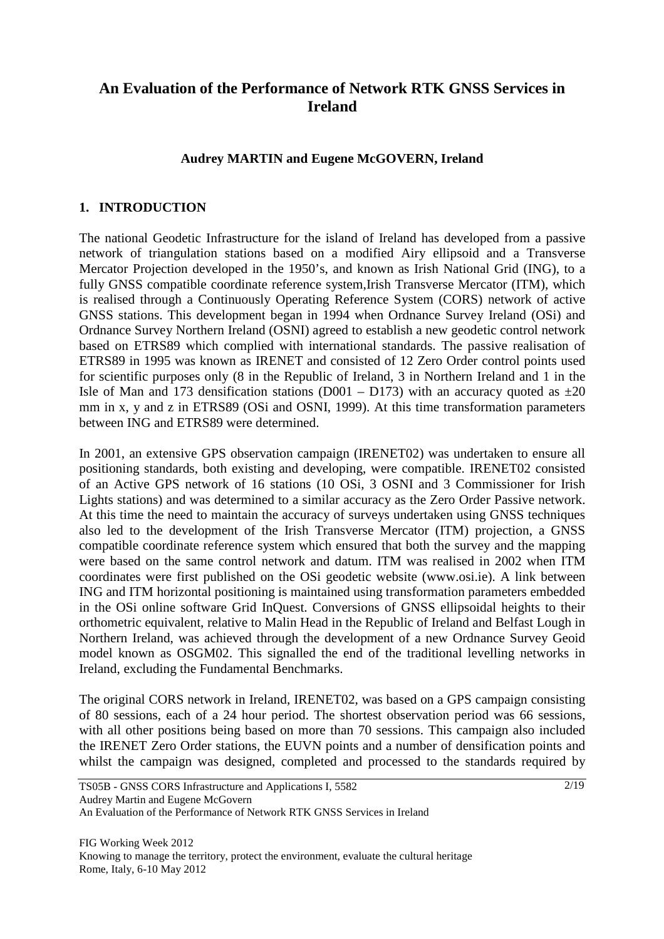# **An Evaluation of the Performance of Network RTK GNSS Services in Ireland**

### **Audrey MARTIN and Eugene McGOVERN, Ireland**

# **1. INTRODUCTION**

The national Geodetic Infrastructure for the island of Ireland has developed from a passive network of triangulation stations based on a modified Airy ellipsoid and a Transverse Mercator Projection developed in the 1950's, and known as Irish National Grid (ING), to a fully GNSS compatible coordinate reference system,Irish Transverse Mercator (ITM), which is realised through a Continuously Operating Reference System (CORS) network of active GNSS stations. This development began in 1994 when Ordnance Survey Ireland (OSi) and Ordnance Survey Northern Ireland (OSNI) agreed to establish a new geodetic control network based on ETRS89 which complied with international standards. The passive realisation of ETRS89 in 1995 was known as IRENET and consisted of 12 Zero Order control points used for scientific purposes only (8 in the Republic of Ireland, 3 in Northern Ireland and 1 in the Isle of Man and 173 densification stations (D001 – D173) with an accuracy quoted as  $\pm 20$ mm in x, y and z in ETRS89 (OSi and OSNI, 1999). At this time transformation parameters between ING and ETRS89 were determined.

In 2001, an extensive GPS observation campaign (IRENET02) was undertaken to ensure all positioning standards, both existing and developing, were compatible. IRENET02 consisted of an Active GPS network of 16 stations (10 OSi, 3 OSNI and 3 Commissioner for Irish Lights stations) and was determined to a similar accuracy as the Zero Order Passive network. At this time the need to maintain the accuracy of surveys undertaken using GNSS techniques also led to the development of the Irish Transverse Mercator (ITM) projection, a GNSS compatible coordinate reference system which ensured that both the survey and the mapping were based on the same control network and datum. ITM was realised in 2002 when ITM coordinates were first published on the OSi geodetic website (www.osi.ie). A link between ING and ITM horizontal positioning is maintained using transformation parameters embedded in the OSi online software Grid InQuest. Conversions of GNSS ellipsoidal heights to their orthometric equivalent, relative to Malin Head in the Republic of Ireland and Belfast Lough in Northern Ireland, was achieved through the development of a new Ordnance Survey Geoid model known as OSGM02. This signalled the end of the traditional levelling networks in Ireland, excluding the Fundamental Benchmarks.

The original CORS network in Ireland, IRENET02, was based on a GPS campaign consisting of 80 sessions, each of a 24 hour period. The shortest observation period was 66 sessions, with all other positions being based on more than 70 sessions. This campaign also included the IRENET Zero Order stations, the EUVN points and a number of densification points and whilst the campaign was designed, completed and processed to the standards required by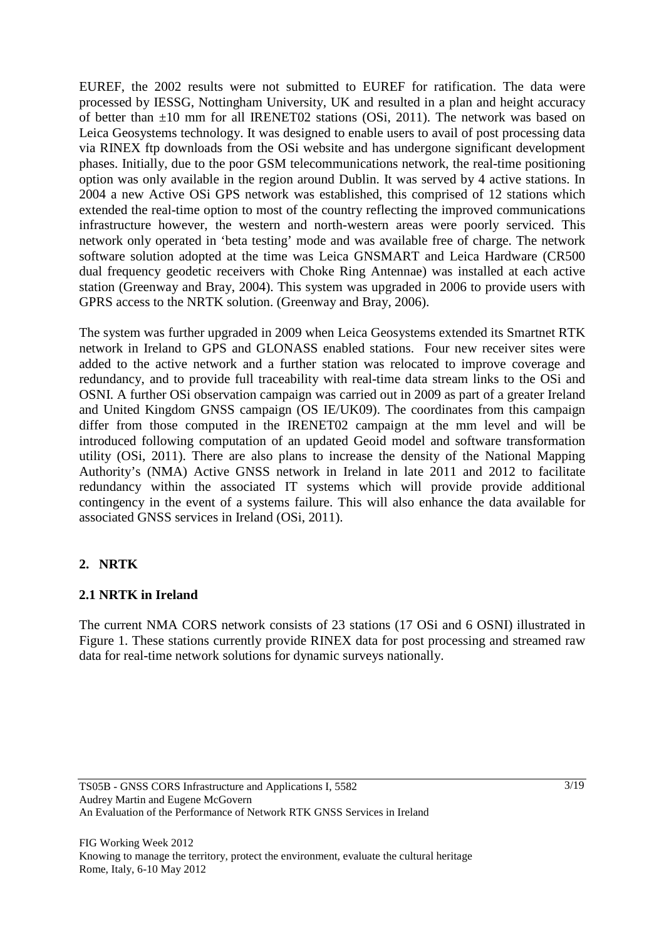EUREF, the 2002 results were not submitted to EUREF for ratification. The data were processed by IESSG, Nottingham University, UK and resulted in a plan and height accuracy of better than ±10 mm for all IRENET02 stations (OSi, 2011). The network was based on Leica Geosystems technology. It was designed to enable users to avail of post processing data via RINEX ftp downloads from the OSi website and has undergone significant development phases. Initially, due to the poor GSM telecommunications network, the real-time positioning option was only available in the region around Dublin. It was served by 4 active stations. In 2004 a new Active OSi GPS network was established, this comprised of 12 stations which extended the real-time option to most of the country reflecting the improved communications infrastructure however, the western and north-western areas were poorly serviced. This network only operated in 'beta testing' mode and was available free of charge. The network software solution adopted at the time was Leica GNSMART and Leica Hardware (CR500 dual frequency geodetic receivers with Choke Ring Antennae) was installed at each active station (Greenway and Bray, 2004). This system was upgraded in 2006 to provide users with GPRS access to the NRTK solution. (Greenway and Bray, 2006).

The system was further upgraded in 2009 when Leica Geosystems extended its Smartnet RTK network in Ireland to GPS and GLONASS enabled stations. Four new receiver sites were added to the active network and a further station was relocated to improve coverage and redundancy, and to provide full traceability with real-time data stream links to the OSi and OSNI. A further OSi observation campaign was carried out in 2009 as part of a greater Ireland and United Kingdom GNSS campaign (OS IE/UK09). The coordinates from this campaign differ from those computed in the IRENET02 campaign at the mm level and will be introduced following computation of an updated Geoid model and software transformation utility (OSi, 2011). There are also plans to increase the density of the National Mapping Authority's (NMA) Active GNSS network in Ireland in late 2011 and 2012 to facilitate redundancy within the associated IT systems which will provide provide additional contingency in the event of a systems failure. This will also enhance the data available for associated GNSS services in Ireland (OSi, 2011).

# **2. NRTK**

# **2.1 NRTK in Ireland**

The current NMA CORS network consists of 23 stations (17 OSi and 6 OSNI) illustrated in Figure 1. These stations currently provide RINEX data for post processing and streamed raw data for real-time network solutions for dynamic surveys nationally.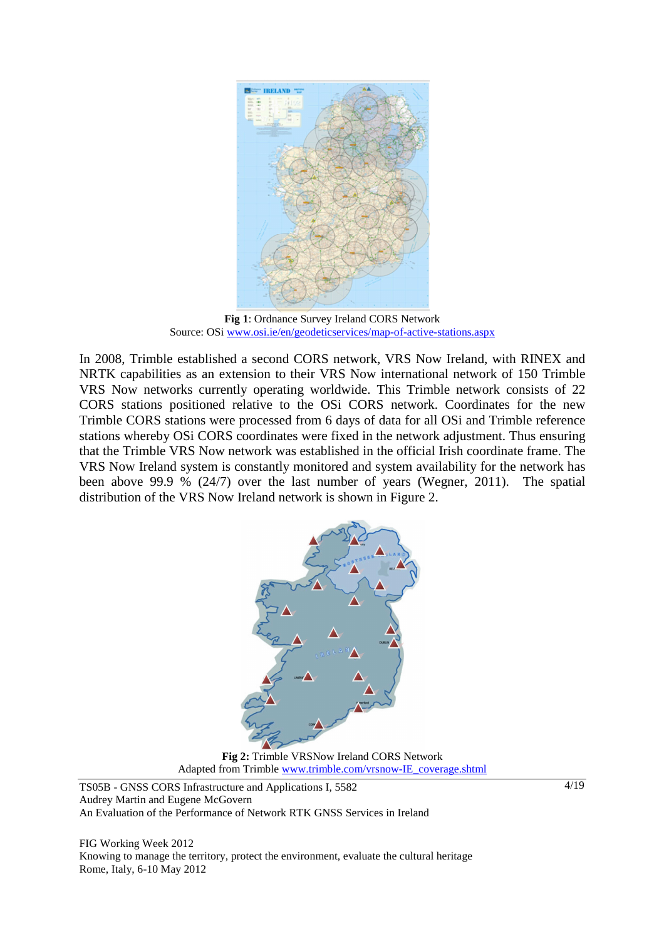

**Fig 1**: Ordnance Survey Ireland CORS Network Source: OSi www.osi.ie/en/geodeticservices/map-of-active-stations.aspx

In 2008, Trimble established a second CORS network, VRS Now Ireland, with RINEX and NRTK capabilities as an extension to their VRS Now international network of 150 Trimble VRS Now networks currently operating worldwide. This Trimble network consists of 22 CORS stations positioned relative to the OSi CORS network. Coordinates for the new Trimble CORS stations were processed from 6 days of data for all OSi and Trimble reference stations whereby OSi CORS coordinates were fixed in the network adjustment. Thus ensuring that the Trimble VRS Now network was established in the official Irish coordinate frame. The VRS Now Ireland system is constantly monitored and system availability for the network has been above 99.9 % (24/7) over the last number of years (Wegner, 2011). The spatial distribution of the VRS Now Ireland network is shown in Figure 2.



**Fig 2:** Trimble VRSNow Ireland CORS Network Adapted from Trimble www.trimble.com/vrsnow-IE\_coverage.shtml

TS05B - GNSS CORS Infrastructure and Applications I, 5582 Audrey Martin and Eugene McGovern An Evaluation of the Performance of Network RTK GNSS Services in Ireland

FIG Working Week 2012 Knowing to manage the territory, protect the environment, evaluate the cultural heritage Rome, Italy, 6-10 May 2012

4/19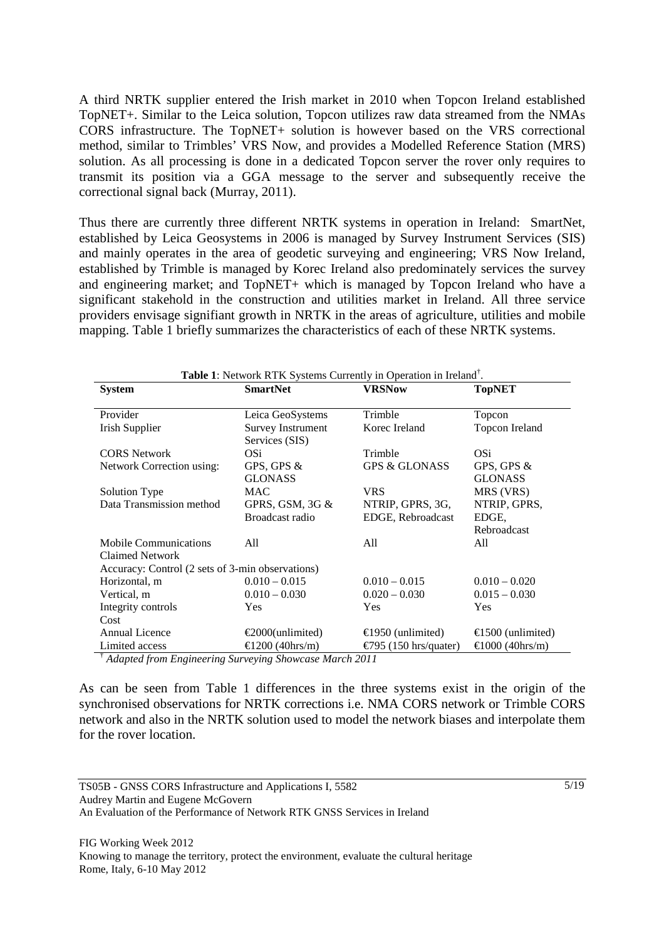A third NRTK supplier entered the Irish market in 2010 when Topcon Ireland established TopNET+. Similar to the Leica solution, Topcon utilizes raw data streamed from the NMAs CORS infrastructure. The TopNET+ solution is however based on the VRS correctional method, similar to Trimbles' VRS Now, and provides a Modelled Reference Station (MRS) solution. As all processing is done in a dedicated Topcon server the rover only requires to transmit its position via a GGA message to the server and subsequently receive the correctional signal back (Murray, 2011).

Thus there are currently three different NRTK systems in operation in Ireland: SmartNet, established by Leica Geosystems in 2006 is managed by Survey Instrument Services (SIS) and mainly operates in the area of geodetic surveying and engineering; VRS Now Ireland, established by Trimble is managed by Korec Ireland also predominately services the survey and engineering market; and TopNET+ which is managed by Topcon Ireland who have a significant stakehold in the construction and utilities market in Ireland. All three service providers envisage signifiant growth in NRTK in the areas of agriculture, utilities and mobile mapping. Table 1 briefly summarizes the characteristics of each of these NRTK systems.

| <b>Table 1:</b> Network RTK Systems Currently in Operation in Ireland <sup>†</sup> . |                                                          |                                       |                                      |
|--------------------------------------------------------------------------------------|----------------------------------------------------------|---------------------------------------|--------------------------------------|
| <b>System</b>                                                                        | <b>SmartNet</b>                                          | <b>VRSNow</b>                         | <b>TopNET</b>                        |
| Provider                                                                             | Leica GeoSystems                                         | Trimble                               | Topcon                               |
| Irish Supplier                                                                       | <b>Survey Instrument</b><br>Services (SIS)               | Korec Ireland                         | Topcon Ireland                       |
| <b>CORS Network</b>                                                                  | OSi.                                                     | Trimble                               | OSi                                  |
| Network Correction using:                                                            | GPS, GPS &<br><b>GLONASS</b>                             | <b>GPS &amp; GLONASS</b>              | GPS, GPS &<br><b>GLONASS</b>         |
| Solution Type                                                                        | MAC                                                      | <b>VRS</b>                            | MRS (VRS)                            |
| Data Transmission method                                                             | GPRS, GSM, 3G $&$<br>Broadcast radio                     | NTRIP, GPRS, 3G,<br>EDGE, Rebroadcast | NTRIP, GPRS,<br>EDGE.<br>Rebroadcast |
| <b>Mobile Communications</b><br><b>Claimed Network</b>                               | All                                                      | All                                   | All                                  |
| Accuracy: Control (2 sets of 3-min observations)                                     |                                                          |                                       |                                      |
| Horizontal, m                                                                        | $0.010 - 0.015$                                          | $0.010 - 0.015$                       | $0.010 - 0.020$                      |
| Vertical, m                                                                          | $0.010 - 0.030$                                          | $0.020 - 0.030$                       | $0.015 - 0.030$                      |
| Integrity controls                                                                   | <b>Yes</b>                                               | Yes                                   | Yes                                  |
| Cost                                                                                 |                                                          |                                       |                                      |
| <b>Annual Licence</b>                                                                | $\epsilon$ 2000(unlimited)                               | €1950 (unlimited)                     | $\bigoplus$ 00 (unlimited)           |
| Limited access<br>$\ddagger$ and $\ddagger$ and $\ddagger$<br>$\sim$                 | €1200 (40hrs/m)<br>$\mathbf{z}$<br>$\alpha$ <sub>1</sub> | €795 (150 hrs/quater<br>1.2011        | €1000 (40hrs/m)                      |

† *Adapted from Engineering Surveying Showcase March 2011*

As can be seen from Table 1 differences in the three systems exist in the origin of the synchronised observations for NRTK corrections i.e. NMA CORS network or Trimble CORS network and also in the NRTK solution used to model the network biases and interpolate them for the rover location.

TS05B - GNSS CORS Infrastructure and Applications I, 5582 Audrey Martin and Eugene McGovern An Evaluation of the Performance of Network RTK GNSS Services in Ireland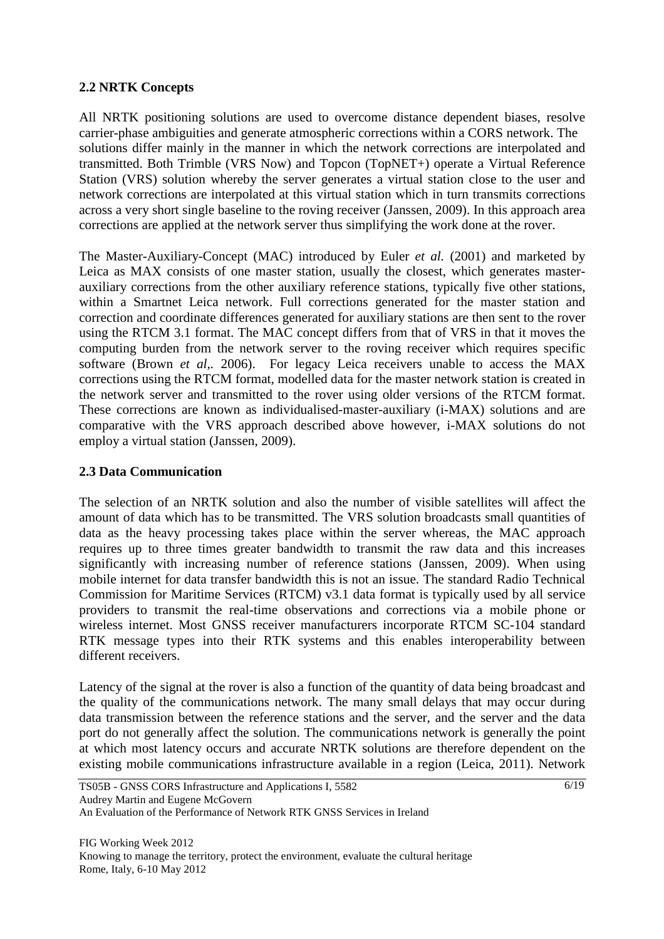### **2.2 NRTK Concepts**

All NRTK positioning solutions are used to overcome distance dependent biases, resolve carrier-phase ambiguities and generate atmospheric corrections within a CORS network. The solutions differ mainly in the manner in which the network corrections are interpolated and transmitted. Both Trimble (VRS Now) and Topcon (TopNET+) operate a Virtual Reference Station (VRS) solution whereby the server generates a virtual station close to the user and network corrections are interpolated at this virtual station which in turn transmits corrections across a very short single baseline to the roving receiver (Janssen, 2009). In this approach area corrections are applied at the network server thus simplifying the work done at the rover.

The Master-Auxiliary-Concept (MAC) introduced by Euler *et al.* (2001) and marketed by Leica as MAX consists of one master station, usually the closest, which generates masterauxiliary corrections from the other auxiliary reference stations, typically five other stations, within a Smartnet Leica network. Full corrections generated for the master station and correction and coordinate differences generated for auxiliary stations are then sent to the rover using the RTCM 3.1 format. The MAC concept differs from that of VRS in that it moves the computing burden from the network server to the roving receiver which requires specific software (Brown *et al,.* 2006). For legacy Leica receivers unable to access the MAX corrections using the RTCM format, modelled data for the master network station is created in the network server and transmitted to the rover using older versions of the RTCM format. These corrections are known as individualised-master-auxiliary (i-MAX) solutions and are comparative with the VRS approach described above however, i-MAX solutions do not employ a virtual station (Janssen, 2009).

### **2.3 Data Communication**

The selection of an NRTK solution and also the number of visible satellites will affect the amount of data which has to be transmitted. The VRS solution broadcasts small quantities of data as the heavy processing takes place within the server whereas, the MAC approach requires up to three times greater bandwidth to transmit the raw data and this increases significantly with increasing number of reference stations (Janssen, 2009). When using mobile internet for data transfer bandwidth this is not an issue. The standard Radio Technical Commission for Maritime Services (RTCM) v3.1 data format is typically used by all service providers to transmit the real-time observations and corrections via a mobile phone or wireless internet. Most GNSS receiver manufacturers incorporate RTCM SC-104 standard RTK message types into their RTK systems and this enables interoperability between different receivers.

Latency of the signal at the rover is also a function of the quantity of data being broadcast and the quality of the communications network. The many small delays that may occur during data transmission between the reference stations and the server, and the server and the data port do not generally affect the solution. The communications network is generally the point at which most latency occurs and accurate NRTK solutions are therefore dependent on the existing mobile communications infrastructure available in a region (Leica, 2011). Network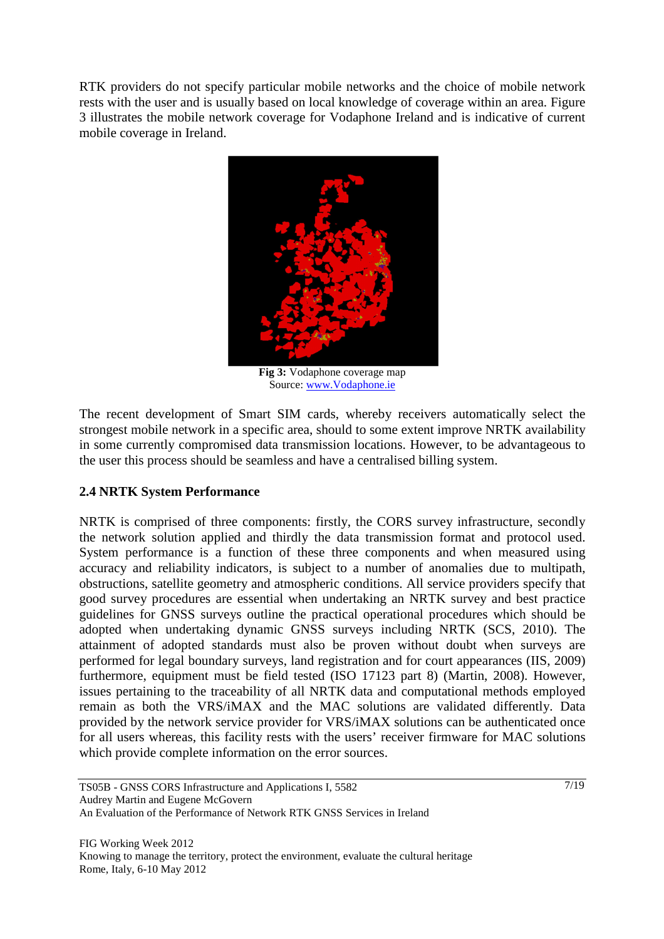RTK providers do not specify particular mobile networks and the choice of mobile network rests with the user and is usually based on local knowledge of coverage within an area. Figure 3 illustrates the mobile network coverage for Vodaphone Ireland and is indicative of current mobile coverage in Ireland.



**Fig 3:** Vodaphone coverage map Source: www.Vodaphone.ie

The recent development of Smart SIM cards, whereby receivers automatically select the strongest mobile network in a specific area, should to some extent improve NRTK availability in some currently compromised data transmission locations. However, to be advantageous to the user this process should be seamless and have a centralised billing system.

# **2.4 NRTK System Performance**

NRTK is comprised of three components: firstly, the CORS survey infrastructure, secondly the network solution applied and thirdly the data transmission format and protocol used. System performance is a function of these three components and when measured using accuracy and reliability indicators, is subject to a number of anomalies due to multipath, obstructions, satellite geometry and atmospheric conditions. All service providers specify that good survey procedures are essential when undertaking an NRTK survey and best practice guidelines for GNSS surveys outline the practical operational procedures which should be adopted when undertaking dynamic GNSS surveys including NRTK (SCS, 2010). The attainment of adopted standards must also be proven without doubt when surveys are performed for legal boundary surveys, land registration and for court appearances (IIS, 2009) furthermore, equipment must be field tested (ISO 17123 part 8) (Martin, 2008). However, issues pertaining to the traceability of all NRTK data and computational methods employed remain as both the VRS/iMAX and the MAC solutions are validated differently. Data provided by the network service provider for VRS/iMAX solutions can be authenticated once for all users whereas, this facility rests with the users' receiver firmware for MAC solutions which provide complete information on the error sources.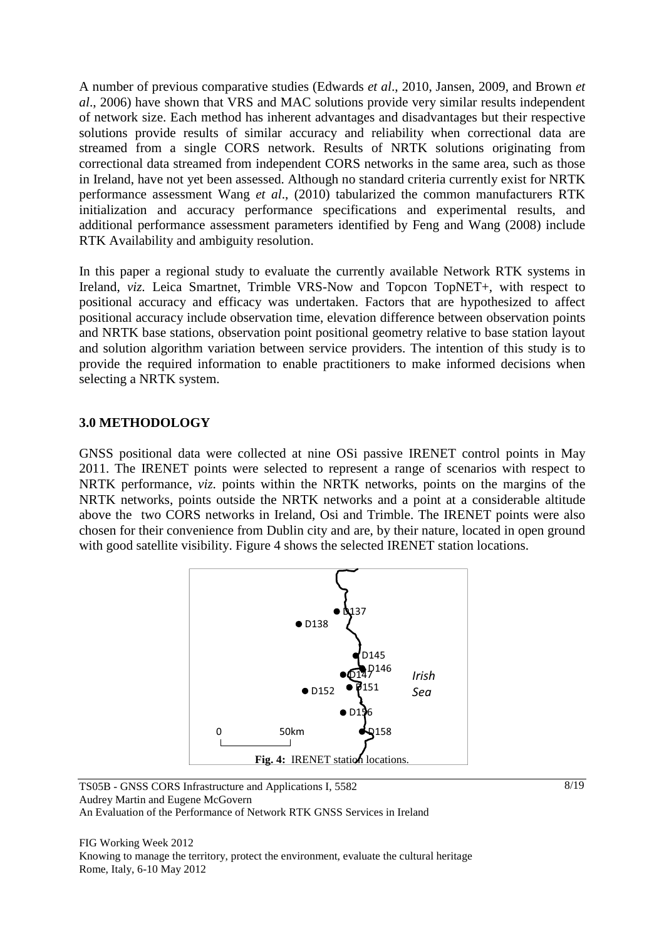A number of previous comparative studies (Edwards *et al*., 2010, Jansen, 2009, and Brown *et al*., 2006) have shown that VRS and MAC solutions provide very similar results independent of network size. Each method has inherent advantages and disadvantages but their respective solutions provide results of similar accuracy and reliability when correctional data are streamed from a single CORS network. Results of NRTK solutions originating from correctional data streamed from independent CORS networks in the same area, such as those in Ireland, have not yet been assessed. Although no standard criteria currently exist for NRTK performance assessment Wang *et al*., (2010) tabularized the common manufacturers RTK initialization and accuracy performance specifications and experimental results, and additional performance assessment parameters identified by Feng and Wang (2008) include RTK Availability and ambiguity resolution.

In this paper a regional study to evaluate the currently available Network RTK systems in Ireland, *viz.* Leica Smartnet, Trimble VRS-Now and Topcon TopNET+, with respect to positional accuracy and efficacy was undertaken. Factors that are hypothesized to affect positional accuracy include observation time, elevation difference between observation points and NRTK base stations, observation point positional geometry relative to base station layout and solution algorithm variation between service providers. The intention of this study is to provide the required information to enable practitioners to make informed decisions when selecting a NRTK system.

# **3.0 METHODOLOGY**

GNSS positional data were collected at nine OSi passive IRENET control points in May 2011. The IRENET points were selected to represent a range of scenarios with respect to NRTK performance, *viz.* points within the NRTK networks, points on the margins of the NRTK networks, points outside the NRTK networks and a point at a considerable altitude above the two CORS networks in Ireland, Osi and Trimble. The IRENET points were also chosen for their convenience from Dublin city and are, by their nature, located in open ground with good satellite visibility. Figure 4 shows the selected IRENET station locations.



TS05B - GNSS CORS Infrastructure and Applications I, 5582 Audrey Martin and Eugene McGovern An Evaluation of the Performance of Network RTK GNSS Services in Ireland

FIG Working Week 2012 Knowing to manage the territory, protect the environment, evaluate the cultural heritage Rome, Italy, 6-10 May 2012

8/19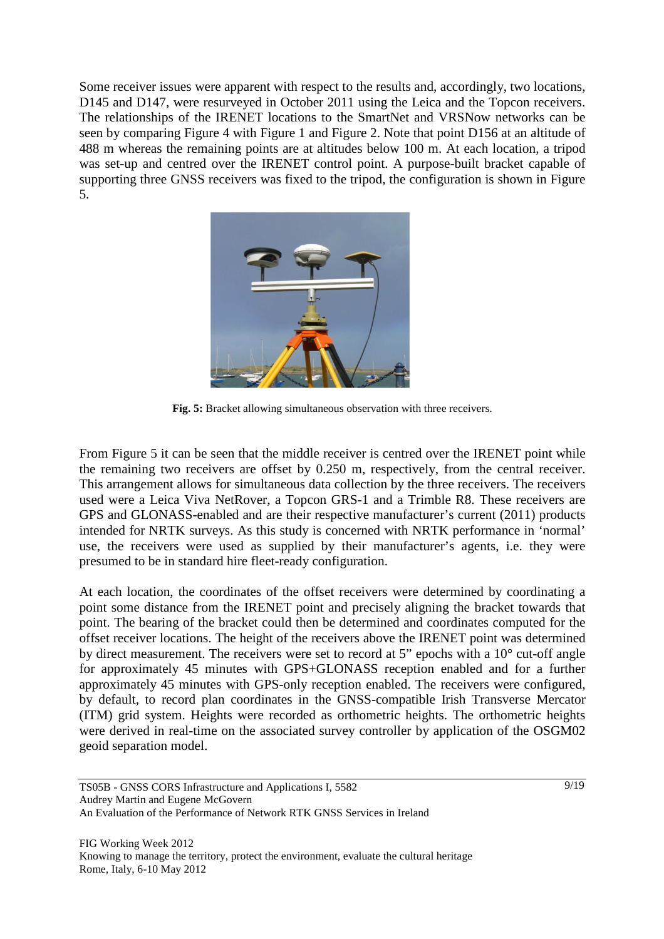Some receiver issues were apparent with respect to the results and, accordingly, two locations, D145 and D147, were resurveyed in October 2011 using the Leica and the Topcon receivers. The relationships of the IRENET locations to the SmartNet and VRSNow networks can be seen by comparing Figure 4 with Figure 1 and Figure 2. Note that point D156 at an altitude of 488 m whereas the remaining points are at altitudes below 100 m. At each location, a tripod was set-up and centred over the IRENET control point. A purpose-built bracket capable of supporting three GNSS receivers was fixed to the tripod, the configuration is shown in Figure 5.



**Fig. 5:** Bracket allowing simultaneous observation with three receivers.

From Figure 5 it can be seen that the middle receiver is centred over the IRENET point while the remaining two receivers are offset by 0.250 m, respectively, from the central receiver. This arrangement allows for simultaneous data collection by the three receivers. The receivers used were a Leica Viva NetRover, a Topcon GRS-1 and a Trimble R8. These receivers are GPS and GLONASS-enabled and are their respective manufacturer's current (2011) products intended for NRTK surveys. As this study is concerned with NRTK performance in 'normal' use, the receivers were used as supplied by their manufacturer's agents, i.e. they were presumed to be in standard hire fleet-ready configuration.

At each location, the coordinates of the offset receivers were determined by coordinating a point some distance from the IRENET point and precisely aligning the bracket towards that point. The bearing of the bracket could then be determined and coordinates computed for the offset receiver locations. The height of the receivers above the IRENET point was determined by direct measurement. The receivers were set to record at 5" epochs with a 10° cut-off angle for approximately 45 minutes with GPS+GLONASS reception enabled and for a further approximately 45 minutes with GPS-only reception enabled. The receivers were configured, by default, to record plan coordinates in the GNSS-compatible Irish Transverse Mercator (ITM) grid system. Heights were recorded as orthometric heights. The orthometric heights were derived in real-time on the associated survey controller by application of the OSGM02 geoid separation model.

TS05B - GNSS CORS Infrastructure and Applications I, 5582 Audrey Martin and Eugene McGovern An Evaluation of the Performance of Network RTK GNSS Services in Ireland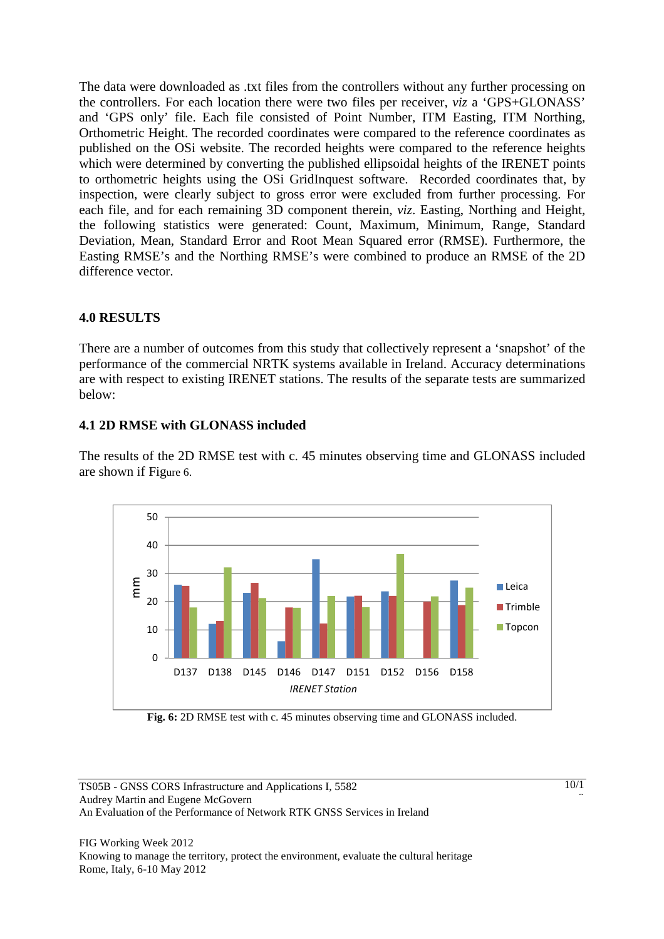The data were downloaded as .txt files from the controllers without any further processing on the controllers. For each location there were two files per receiver, *viz* a 'GPS+GLONASS' and 'GPS only' file. Each file consisted of Point Number, ITM Easting, ITM Northing, Orthometric Height. The recorded coordinates were compared to the reference coordinates as published on the OSi website. The recorded heights were compared to the reference heights which were determined by converting the published ellipsoidal heights of the IRENET points to orthometric heights using the OSi GridInquest software. Recorded coordinates that, by inspection, were clearly subject to gross error were excluded from further processing. For each file, and for each remaining 3D component therein, *viz*. Easting, Northing and Height, the following statistics were generated: Count, Maximum, Minimum, Range, Standard Deviation, Mean, Standard Error and Root Mean Squared error (RMSE). Furthermore, the Easting RMSE's and the Northing RMSE's were combined to produce an RMSE of the 2D difference vector.

# **4.0 RESULTS**

There are a number of outcomes from this study that collectively represent a 'snapshot' of the performance of the commercial NRTK systems available in Ireland. Accuracy determinations are with respect to existing IRENET stations. The results of the separate tests are summarized below:

### **4.1 2D RMSE with GLONASS included**

The results of the 2D RMSE test with c. 45 minutes observing time and GLONASS included are shown if Figure 6.



**Fig. 6:** 2D RMSE test with c. 45 minutes observing time and GLONASS included.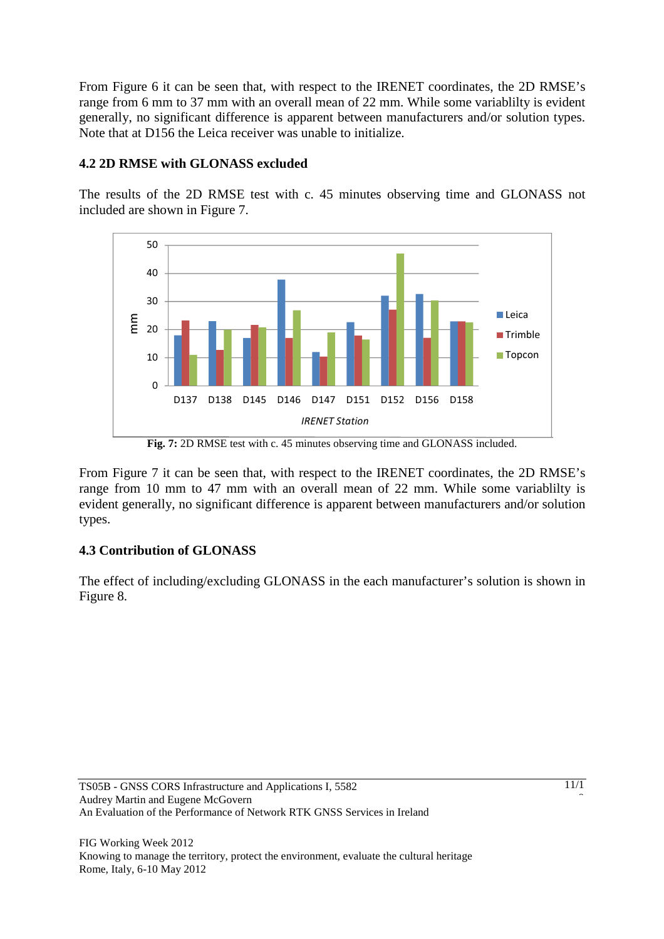From Figure 6 it can be seen that, with respect to the IRENET coordinates, the 2D RMSE's range from 6 mm to 37 mm with an overall mean of 22 mm. While some variablilty is evident generally, no significant difference is apparent between manufacturers and/or solution types. Note that at D156 the Leica receiver was unable to initialize.

# **4.2 2D RMSE with GLONASS excluded**

The results of the 2D RMSE test with c. 45 minutes observing time and GLONASS not included are shown in Figure 7.



**Fig. 7:** 2D RMSE test with c. 45 minutes observing time and GLONASS included.

From Figure 7 it can be seen that, with respect to the IRENET coordinates, the 2D RMSE's range from 10 mm to 47 mm with an overall mean of 22 mm. While some variablilty is evident generally, no significant difference is apparent between manufacturers and/or solution types.

# **4.3 Contribution of GLONASS**

The effect of including/excluding GLONASS in the each manufacturer's solution is shown in Figure 8.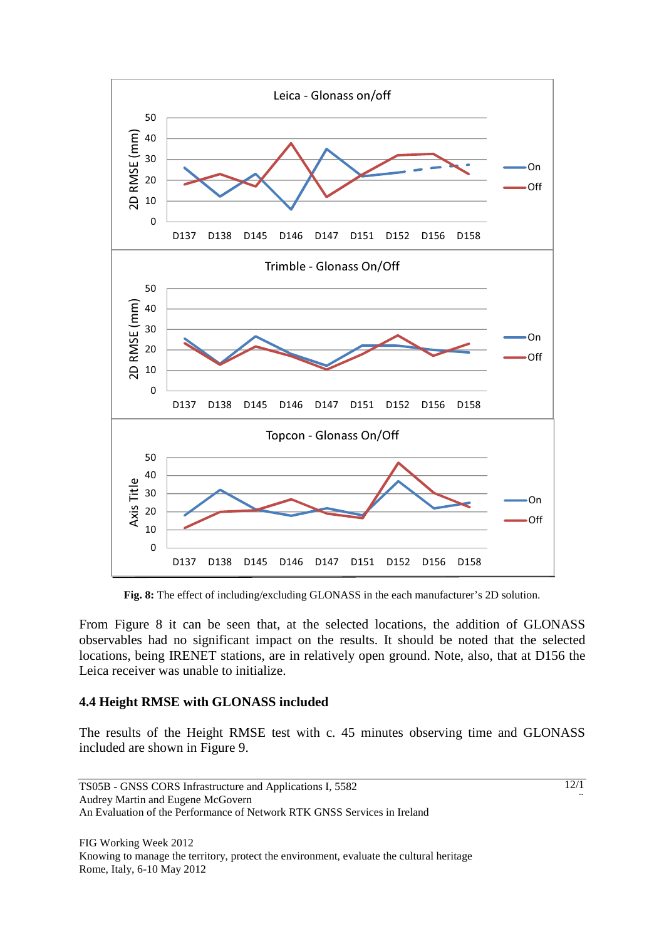

**Fig. 8:** The effect of including/excluding GLONASS in the each manufacturer's 2D solution.

From Figure 8 it can be seen that, at the selected locations, the addition of GLONASS observables had no significant impact on the results. It should be noted that the selected locations, being IRENET stations, are in relatively open ground. Note, also, that at D156 the Leica receiver was unable to initialize.

#### **4.4 Height RMSE with GLONASS included**

The results of the Height RMSE test with c. 45 minutes observing time and GLONASS included are shown in Figure 9.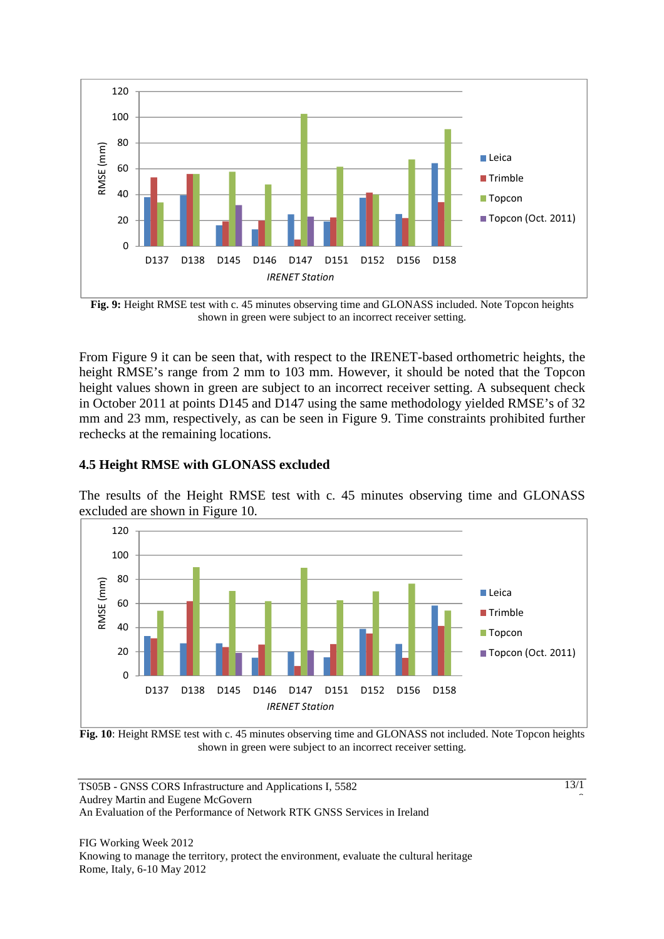

**Fig. 9:** Height RMSE test with c. 45 minutes observing time and GLONASS included. Note Topcon heights shown in green were subject to an incorrect receiver setting.

From Figure 9 it can be seen that, with respect to the IRENET-based orthometric heights, the height RMSE's range from 2 mm to 103 mm. However, it should be noted that the Topcon height values shown in green are subject to an incorrect receiver setting. A subsequent check in October 2011 at points D145 and D147 using the same methodology yielded RMSE's of 32 mm and 23 mm, respectively, as can be seen in Figure 9. Time constraints prohibited further rechecks at the remaining locations.

### **4.5 Height RMSE with GLONASS excluded**

The results of the Height RMSE test with c. 45 minutes observing time and GLONASS excluded are shown in Figure 10.



**Fig. 10**: Height RMSE test with c. 45 minutes observing time and GLONASS not included. Note Topcon heights shown in green were subject to an incorrect receiver setting.

TS05B - GNSS CORS Infrastructure and Applications I, 5582 Audrey Martin and Eugene McGovern An Evaluation of the Performance of Network RTK GNSS Services in Ireland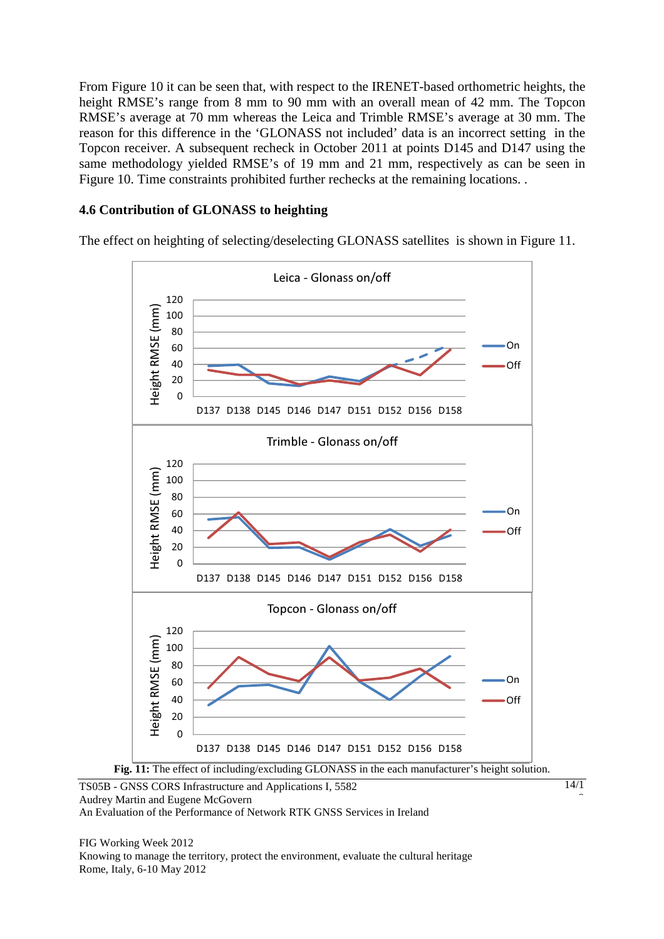From Figure 10 it can be seen that, with respect to the IRENET-based orthometric heights, the height RMSE's range from 8 mm to 90 mm with an overall mean of 42 mm. The Topcon RMSE's average at 70 mm whereas the Leica and Trimble RMSE's average at 30 mm. The reason for this difference in the 'GLONASS not included' data is an incorrect setting in the Topcon receiver. A subsequent recheck in October 2011 at points D145 and D147 using the same methodology yielded RMSE's of 19 mm and 21 mm, respectively as can be seen in Figure 10. Time constraints prohibited further rechecks at the remaining locations. .

# **4.6 Contribution of GLONASS to heighting**

The effect on heighting of selecting/deselecting GLONASS satellites is shown in Figure 11.



TS05B - GNSS CORS Infrastructure and Applications I, 5582 Audrey Martin and Eugene McGovern An Evaluation of the Performance of Network RTK GNSS Services in Ireland

14/1 Î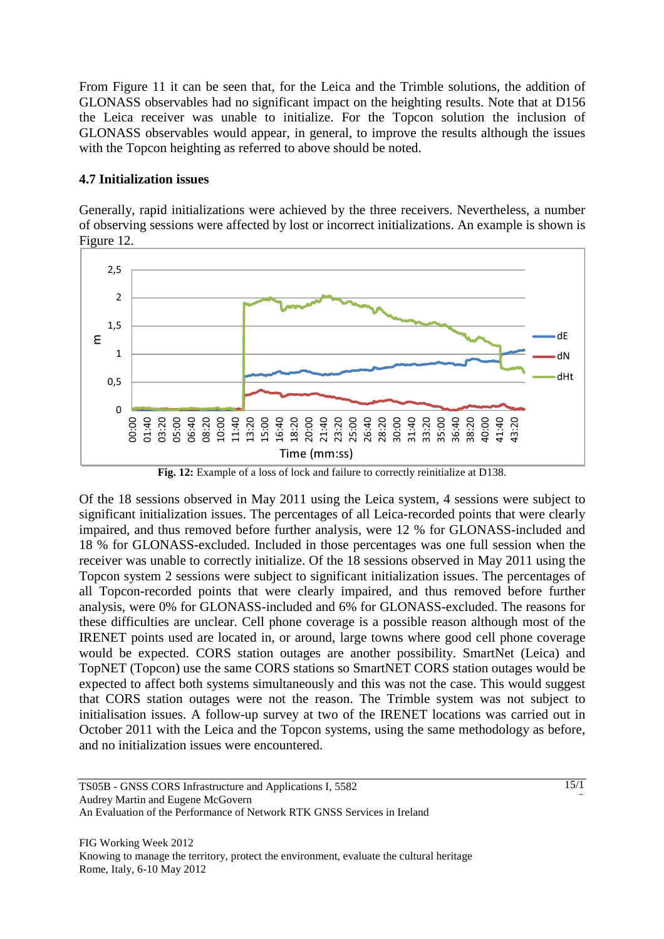From Figure 11 it can be seen that, for the Leica and the Trimble solutions, the addition of GLONASS observables had no significant impact on the heighting results. Note that at D156 the Leica receiver was unable to initialize. For the Topcon solution the inclusion of GLONASS observables would appear, in general, to improve the results although the issues with the Topcon heighting as referred to above should be noted.

### **4.7 Initialization issues**

Generally, rapid initializations were achieved by the three receivers. Nevertheless, a number of observing sessions were affected by lost or incorrect initializations. An example is shown is Figure 12.



Fig. 12: Example of a loss of lock and failure to correctly reinitialize at D138.

Of the 18 sessions observed in May 2011 using the Leica system, 4 sessions were subject to significant initialization issues. The percentages of all Leica-recorded points that were clearly impaired, and thus removed before further analysis, were 12 % for GLONASS-included and 18 % for GLONASS-excluded. Included in those percentages was one full session when the receiver was unable to correctly initialize. Of the 18 sessions observed in May 2011 using the Topcon system 2 sessions were subject to significant initialization issues. The percentages of all Topcon-recorded points that were clearly impaired, and thus removed before further analysis, were 0% for GLONASS-included and 6% for GLONASS-excluded. The reasons for these difficulties are unclear. Cell phone coverage is a possible reason although most of the IRENET points used are located in, or around, large towns where good cell phone coverage would be expected. CORS station outages are another possibility. SmartNet (Leica) and TopNET (Topcon) use the same CORS stations so SmartNET CORS station outages would be expected to affect both systems simultaneously and this was not the case. This would suggest that CORS station outages were not the reason. The Trimble system was not subject to initialisation issues. A follow-up survey at two of the IRENET locations was carried out in October 2011 with the Leica and the Topcon systems, using the same methodology as before, and no initialization issues were encountered.

TS05B - GNSS CORS Infrastructure and Applications I, 5582 Audrey Martin and Eugene McGovern An Evaluation of the Performance of Network RTK GNSS Services in Ireland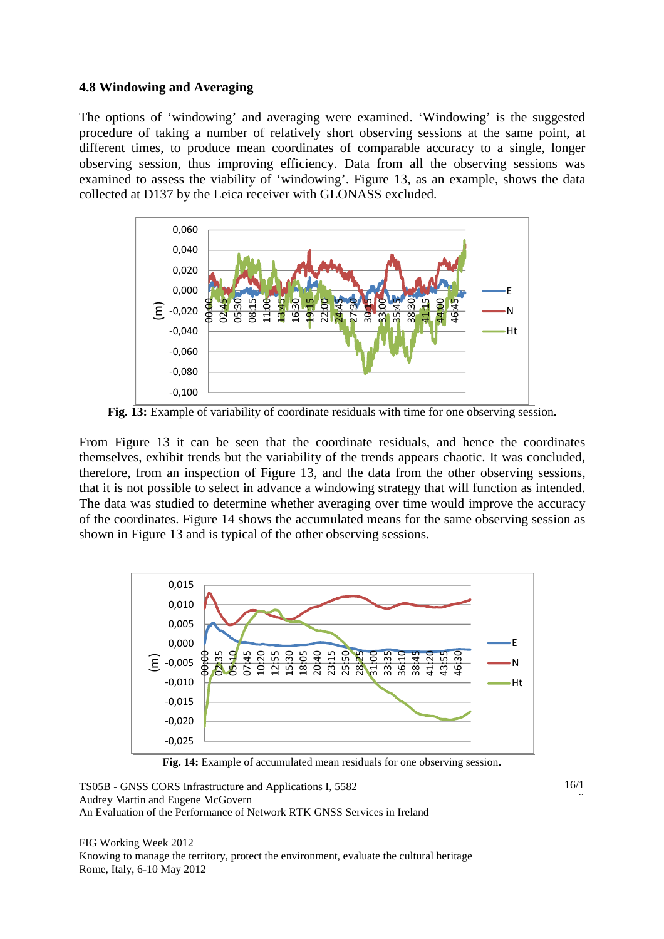### **4.8 Windowing and Averaging**

The options of 'windowing' and averaging were examined. 'Windowing' is the suggested procedure of taking a number of relatively short observing sessions at the same point, at different times, to produce mean coordinates of comparable accuracy to a single, longer observing session, thus improving efficiency. Data from all the observing sessions was examined to assess the viability of 'windowing'. Figure 13, as an example, shows the data collected at D137 by the Leica receiver with GLONASS excluded.



**Fig. 13:** Example of variability of coordinate residuals with time for one observing session**.** 

From Figure 13 it can be seen that the coordinate residuals, and hence the coordinates themselves, exhibit trends but the variability of the trends appears chaotic. It was concluded, therefore, from an inspection of Figure 13, and the data from the other observing sessions, that it is not possible to select in advance a windowing strategy that will function as intended. The data was studied to determine whether averaging over time would improve the accuracy of the coordinates. Figure 14 shows the accumulated means for the same observing session as shown in Figure 13 and is typical of the other observing sessions.



**Fig. 14:** Example of accumulated mean residuals for one observing session.

TS05B - GNSS CORS Infrastructure and Applications I, 5582 Audrey Martin and Eugene McGovern An Evaluation of the Performance of Network RTK GNSS Services in Ireland

FIG Working Week 2012 Knowing to manage the territory, protect the environment, evaluate the cultural heritage Rome, Italy, 6-10 May 2012

16/1 Î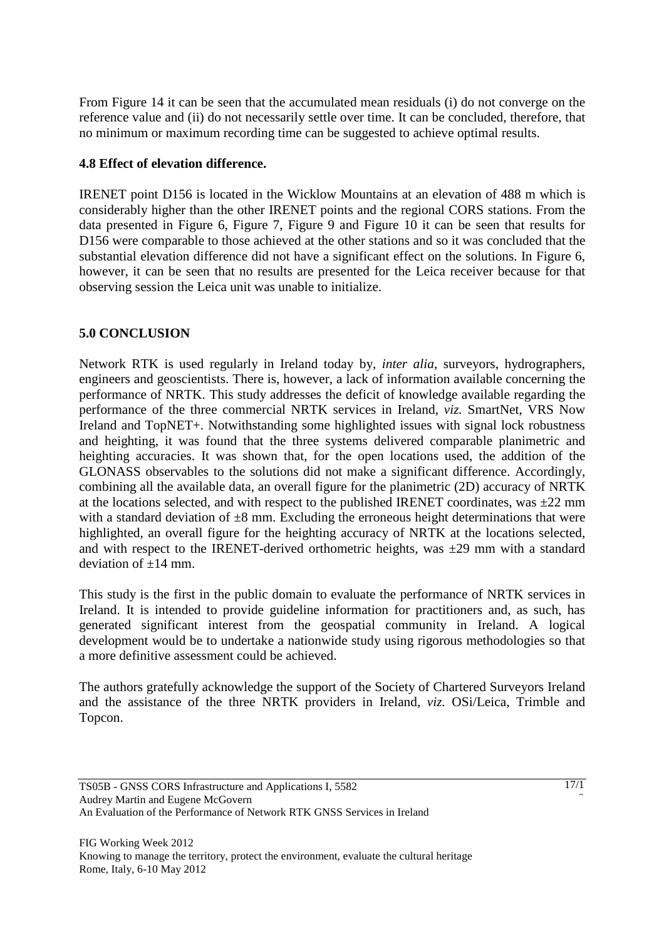From Figure 14 it can be seen that the accumulated mean residuals (i) do not converge on the reference value and (ii) do not necessarily settle over time. It can be concluded, therefore, that no minimum or maximum recording time can be suggested to achieve optimal results.

### **4.8 Effect of elevation difference.**

IRENET point D156 is located in the Wicklow Mountains at an elevation of 488 m which is considerably higher than the other IRENET points and the regional CORS stations. From the data presented in Figure 6, Figure 7, Figure 9 and Figure 10 it can be seen that results for D156 were comparable to those achieved at the other stations and so it was concluded that the substantial elevation difference did not have a significant effect on the solutions. In Figure 6, however, it can be seen that no results are presented for the Leica receiver because for that observing session the Leica unit was unable to initialize.

### **5.0 CONCLUSION**

Network RTK is used regularly in Ireland today by, *inter alia*, surveyors, hydrographers, engineers and geoscientists. There is, however, a lack of information available concerning the performance of NRTK. This study addresses the deficit of knowledge available regarding the performance of the three commercial NRTK services in Ireland, *viz.* SmartNet, VRS Now Ireland and TopNET+. Notwithstanding some highlighted issues with signal lock robustness and heighting, it was found that the three systems delivered comparable planimetric and heighting accuracies. It was shown that, for the open locations used, the addition of the GLONASS observables to the solutions did not make a significant difference. Accordingly, combining all the available data, an overall figure for the planimetric (2D) accuracy of NRTK at the locations selected, and with respect to the published IRENET coordinates, was  $\pm 22$  mm with a standard deviation of  $\pm 8$  mm. Excluding the erroneous height determinations that were highlighted, an overall figure for the heighting accuracy of NRTK at the locations selected, and with respect to the IRENET-derived orthometric heights, was  $\pm 29$  mm with a standard deviation of  $\pm 14$  mm.

This study is the first in the public domain to evaluate the performance of NRTK services in Ireland. It is intended to provide guideline information for practitioners and, as such, has generated significant interest from the geospatial community in Ireland. A logical development would be to undertake a nationwide study using rigorous methodologies so that a more definitive assessment could be achieved.

The authors gratefully acknowledge the support of the Society of Chartered Surveyors Ireland and the assistance of the three NRTK providers in Ireland, *viz.* OSi/Leica, Trimble and Topcon.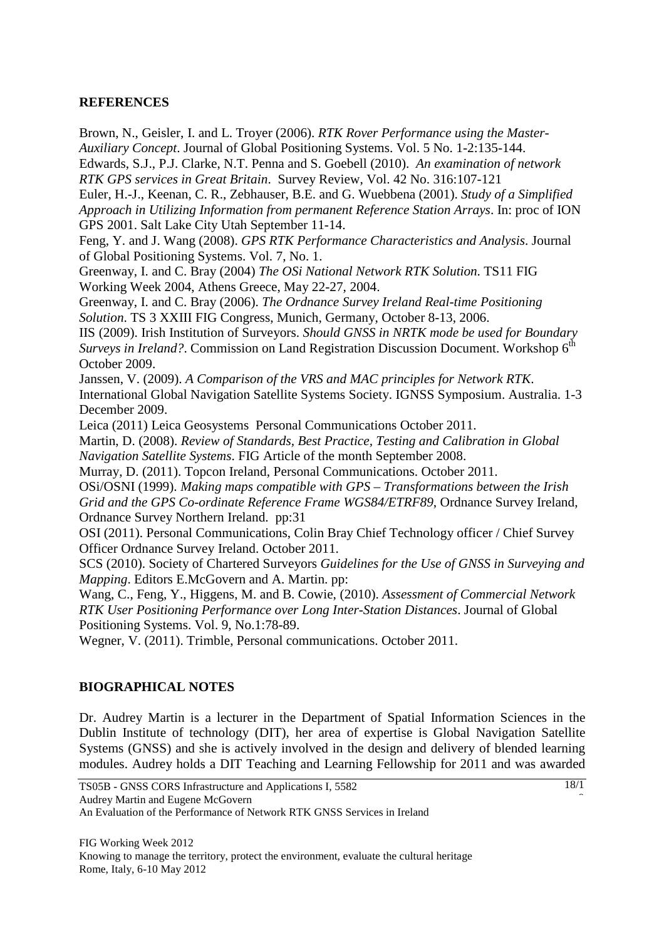### **REFERENCES**

Brown, N., Geisler, I. and L. Troyer (2006). *RTK Rover Performance using the Master-Auxiliary Concept*. Journal of Global Positioning Systems. Vol. 5 No. 1-2:135-144.

Edwards, S.J., P.J. Clarke, N.T. Penna and S. Goebell (2010). *An examination of network RTK GPS services in Great Britain*. Survey Review, Vol. 42 No. 316:107-121

Euler, H.-J., Keenan, C. R., Zebhauser, B.E. and G. Wuebbena (2001). *Study of a Simplified Approach in Utilizing Information from permanent Reference Station Arrays*. In: proc of ION GPS 2001. Salt Lake City Utah September 11-14.

Feng, Y. and J. Wang (2008). *GPS RTK Performance Characteristics and Analysis*. Journal of Global Positioning Systems. Vol. 7, No. 1.

Greenway, I. and C. Bray (2004) *The OSi National Network RTK Solution*. TS11 FIG Working Week 2004, Athens Greece, May 22-27, 2004.

Greenway, I. and C. Bray (2006). *The Ordnance Survey Ireland Real-time Positioning Solution*. TS 3 XXIII FIG Congress, Munich, Germany, October 8-13, 2006.

IIS (2009). Irish Institution of Surveyors. *Should GNSS in NRTK mode be used for Boundary Surveys in Ireland?*. Commission on Land Registration Discussion Document. Workshop 6<sup>th</sup> October 2009.

Janssen, V. (2009). *A Comparison of the VRS and MAC principles for Network RTK*. International Global Navigation Satellite Systems Society. IGNSS Symposium. Australia. 1-3 December 2009.

Leica (2011) Leica Geosystems Personal Communications October 2011.

Martin, D. (2008). *Review of Standards, Best Practice, Testing and Calibration in Global Navigation Satellite Systems*. FIG Article of the month September 2008.

Murray, D. (2011). Topcon Ireland, Personal Communications. October 2011.

OSi/OSNI (1999). *Making maps compatible with GPS – Transformations between the Irish Grid and the GPS Co-ordinate Reference Frame WGS84/ETRF89*, Ordnance Survey Ireland, Ordnance Survey Northern Ireland. pp:31

OSI (2011). Personal Communications, Colin Bray Chief Technology officer / Chief Survey Officer Ordnance Survey Ireland. October 2011.

SCS (2010). Society of Chartered Surveyors *Guidelines for the Use of GNSS in Surveying and Mapping*. Editors E.McGovern and A. Martin. pp:

Wang, C., Feng, Y., Higgens, M. and B. Cowie, (2010). *Assessment of Commercial Network RTK User Positioning Performance over Long Inter-Station Distances*. Journal of Global Positioning Systems. Vol. 9, No.1:78-89.

Wegner, V. (2011). Trimble, Personal communications. October 2011.

# **BIOGRAPHICAL NOTES**

Dr. Audrey Martin is a lecturer in the Department of Spatial Information Sciences in the Dublin Institute of technology (DIT), her area of expertise is Global Navigation Satellite Systems (GNSS) and she is actively involved in the design and delivery of blended learning modules. Audrey holds a DIT Teaching and Learning Fellowship for 2011 and was awarded